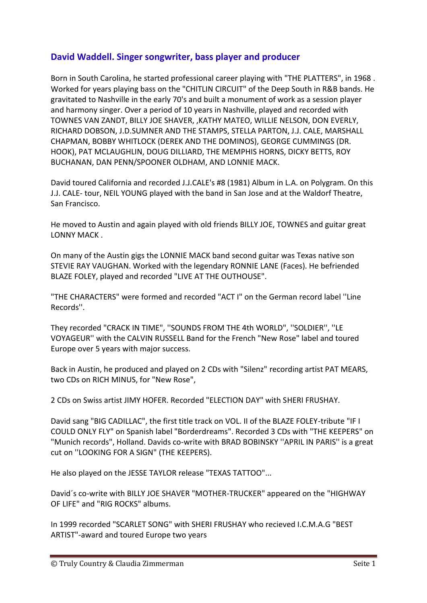## **David Waddell. Singer songwriter, bass player and producer**

Born in South Carolina, he started professional career playing with "THE PLATTERS", in 1968 . Worked for years playing bass on the "CHITLIN CIRCUIT" of the Deep South in R&B bands. He gravitated to Nashville in the early 70's and built a monument of work as a session player and harmony singer. Over a period of 10 years in Nashville, played and recorded with TOWNES VAN ZANDT, BILLY JOE SHAVER, ,KATHY MATEO, WILLIE NELSON, DON EVERLY, RICHARD DOBSON, J.D.SUMNER AND THE STAMPS, STELLA PARTON, J.J. CALE, MARSHALL CHAPMAN, BOBBY WHITLOCK (DEREK AND THE DOMINOS), GEORGE CUMMINGS (DR. HOOK), PAT MCLAUGHLIN, DOUG DILLIARD, THE MEMPHIS HORNS, DICKY BETTS, ROY BUCHANAN, DAN PENN/SPOONER OLDHAM, AND LONNIE MACK.

David toured California and recorded J.J.CALE's #8 (1981) Album in L.A. on Polygram. On this J.J. CALE- tour, NEIL YOUNG played with the band in San Jose and at the Waldorf Theatre, San Francisco.

He moved to Austin and again played with old friends BILLY JOE, TOWNES and guitar great LONNY MACK .

On many of the Austin gigs the LONNIE MACK band second guitar was Texas native son STEVIE RAY VAUGHAN. Worked with the legendary RONNIE LANE (Faces). He befriended BLAZE FOLEY, played and recorded "LIVE AT THE OUTHOUSE".

"THE CHARACTERS" were formed and recorded "ACT I" on the German record label ''Line Records''.

They recorded "CRACK IN TIME", ''SOUNDS FROM THE 4th WORLD", ''SOLDIER'', ''LE VOYAGEUR'' with the CALVIN RUSSELL Band for the French "New Rose" label and toured Europe over 5 years with major success.

Back in Austin, he produced and played on 2 CDs with "Silenz" recording artist PAT MEARS, two CDs on RICH MINUS, for "New Rose",

2 CDs on Swiss artist JIMY HOFER. Recorded "ELECTION DAY" with SHERI FRUSHAY.

David sang "BIG CADILLAC", the first title track on VOL. II of the BLAZE FOLEY-tribute "IF I COULD ONLY FLY" on Spanish label "Borderdreams". Recorded 3 CDs with "THE KEEPERS" on "Munich records", Holland. Davids co-write with BRAD BOBINSKY ''APRIL IN PARIS'' is a great cut on ''LOOKING FOR A SIGN" (THE KEEPERS).

He also played on the JESSE TAYLOR release "TEXAS TATTOO"...

David´s co-write with BILLY JOE SHAVER "MOTHER-TRUCKER" appeared on the "HIGHWAY OF LIFE" and "RIG ROCKS" albums.

In 1999 recorded "SCARLET SONG" with SHERI FRUSHAY who recieved I.C.M.A.G "BEST ARTIST"-award and toured Europe two years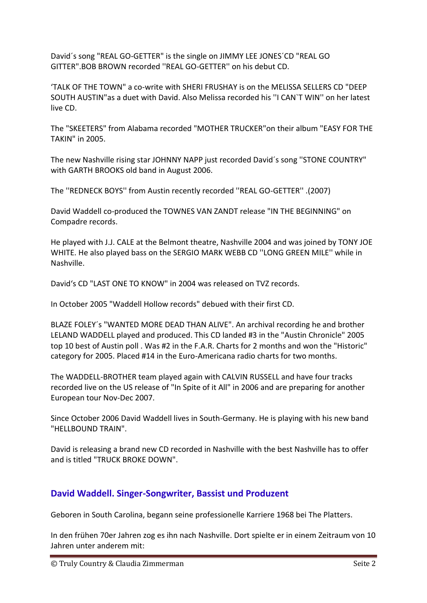David´s song "REAL GO-GETTER" is the single on JIMMY LEE JONES´CD "REAL GO GITTER".BOB BROWN recorded ''REAL GO-GETTER'' on his debut CD.

'TALK OF THE TOWN" a co-write with SHERI FRUSHAY is on the MELISSA SELLERS CD "DEEP SOUTH AUSTIN"as a duet with David. Also Melissa recorded his ''I CAN`T WIN'' on her latest live CD.

The "SKEETERS" from Alabama recorded "MOTHER TRUCKER"on their album "EASY FOR THE TAKIN" in 2005.

The new Nashville rising star JOHNNY NAPP just recorded David´s song ''STONE COUNTRY" with GARTH BROOKS old band in August 2006.

The ''REDNECK BOYS'' from Austin recently recorded ''REAL GO-GETTER'' .(2007)

David Waddell co-produced the TOWNES VAN ZANDT release "IN THE BEGINNING" on Compadre records.

He played with J.J. CALE at the Belmont theatre, Nashville 2004 and was joined by TONY JOE WHITE. He also played bass on the SERGIO MARK WEBB CD ''LONG GREEN MILE'' while in Nashville.

David's CD "LAST ONE TO KNOW" in 2004 was released on TVZ records.

In October 2005 "Waddell Hollow records" debued with their first CD.

BLAZE FOLEY´s "WANTED MORE DEAD THAN ALIVE". An archival recording he and brother LELAND WADDELL played and produced. This CD landed #3 in the "Austin Chronicle" 2005 top 10 best of Austin poll . Was #2 in the F.A.R. Charts for 2 months and won the "Historic" category for 2005. Placed #14 in the Euro-Americana radio charts for two months.

The WADDELL-BROTHER team played again with CALVIN RUSSELL and have four tracks recorded live on the US release of "In Spite of it All" in 2006 and are preparing for another European tour Nov-Dec 2007.

Since October 2006 David Waddell lives in South-Germany. He is playing with his new band "HELLBOUND TRAIN".

David is releasing a brand new CD recorded in Nashville with the best Nashville has to offer and is titled "TRUCK BROKE DOWN".

## **David Waddell. Singer-Songwriter, Bassist und Produzent**

Geboren in South Carolina, begann seine professionelle Karriere 1968 bei The Platters.

In den frühen 70er Jahren zog es ihn nach Nashville. Dort spielte er in einem Zeitraum von 10 Jahren unter anderem mit: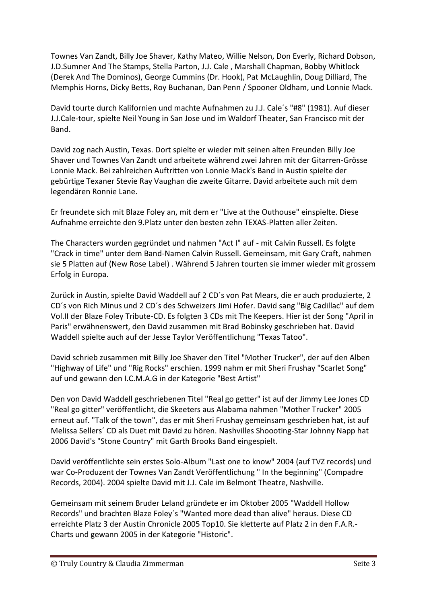Townes Van Zandt, Billy Joe Shaver, Kathy Mateo, Willie Nelson, Don Everly, Richard Dobson, J.D.Sumner And The Stamps, Stella Parton, J.J. Cale , Marshall Chapman, Bobby Whitlock (Derek And The Dominos), George Cummins (Dr. Hook), Pat McLaughlin, Doug Dilliard, The Memphis Horns, Dicky Betts, Roy Buchanan, Dan Penn / Spooner Oldham, und Lonnie Mack.

David tourte durch Kalifornien und machte Aufnahmen zu J.J. Cale´s "#8" (1981). Auf dieser J.J.Cale-tour, spielte Neil Young in San Jose und im Waldorf Theater, San Francisco mit der Band.

David zog nach Austin, Texas. Dort spielte er wieder mit seinen alten Freunden Billy Joe Shaver und Townes Van Zandt und arbeitete während zwei Jahren mit der Gitarren-Grösse Lonnie Mack. Bei zahlreichen Auftritten von Lonnie Mack's Band in Austin spielte der gebürtige Texaner Stevie Ray Vaughan die zweite Gitarre. David arbeitete auch mit dem legendären Ronnie Lane.

Er freundete sich mit Blaze Foley an, mit dem er "Live at the Outhouse" einspielte. Diese Aufnahme erreichte den 9.Platz unter den besten zehn TEXAS-Platten aller Zeiten.

The Characters wurden gegründet und nahmen "Act I" auf - mit Calvin Russell. Es folgte "Crack in time" unter dem Band-Namen Calvin Russell. Gemeinsam, mit Gary Craft, nahmen sie 5 Platten auf (New Rose Label) . Während 5 Jahren tourten sie immer wieder mit grossem Erfolg in Europa.

Zurück in Austin, spielte David Waddell auf 2 CD´s von Pat Mears, die er auch produzierte, 2 CD´s von Rich Minus und 2 CD´s des Schweizers Jimi Hofer. David sang "Big Cadillac" auf dem Vol.II der Blaze Foley Tribute-CD. Es folgten 3 CDs mit The Keepers. Hier ist der Song "April in Paris" erwähnenswert, den David zusammen mit Brad Bobinsky geschrieben hat. David Waddell spielte auch auf der Jesse Taylor Veröffentlichung "Texas Tatoo".

David schrieb zusammen mit Billy Joe Shaver den Titel "Mother Trucker", der auf den Alben "Highway of Life" und "Rig Rocks" erschien. 1999 nahm er mit Sheri Frushay "Scarlet Song" auf und gewann den I.C.M.A.G in der Kategorie "Best Artist"

Den von David Waddell geschriebenen Titel "Real go getter" ist auf der Jimmy Lee Jones CD "Real go gitter" veröffentlicht, die Skeeters aus Alabama nahmen "Mother Trucker" 2005 erneut auf. "Talk of the town", das er mit Sheri Frushay gemeinsam geschrieben hat, ist auf Melissa Sellers´ CD als Duet mit David zu hören. Nashvilles Shoooting-Star Johnny Napp hat 2006 David's "Stone Country" mit Garth Brooks Band eingespielt.

David veröffentlichte sein erstes Solo-Album "Last one to know" 2004 (auf TVZ records) und war Co-Produzent der Townes Van Zandt Veröffentlichung " In the beginning" (Compadre Records, 2004). 2004 spielte David mit J.J. Cale im Belmont Theatre, Nashville.

Gemeinsam mit seinem Bruder Leland gründete er im Oktober 2005 "Waddell Hollow Records" und brachten Blaze Foley´s "Wanted more dead than alive" heraus. Diese CD erreichte Platz 3 der Austin Chronicle 2005 Top10. Sie kletterte auf Platz 2 in den F.A.R.- Charts und gewann 2005 in der Kategorie "Historic".